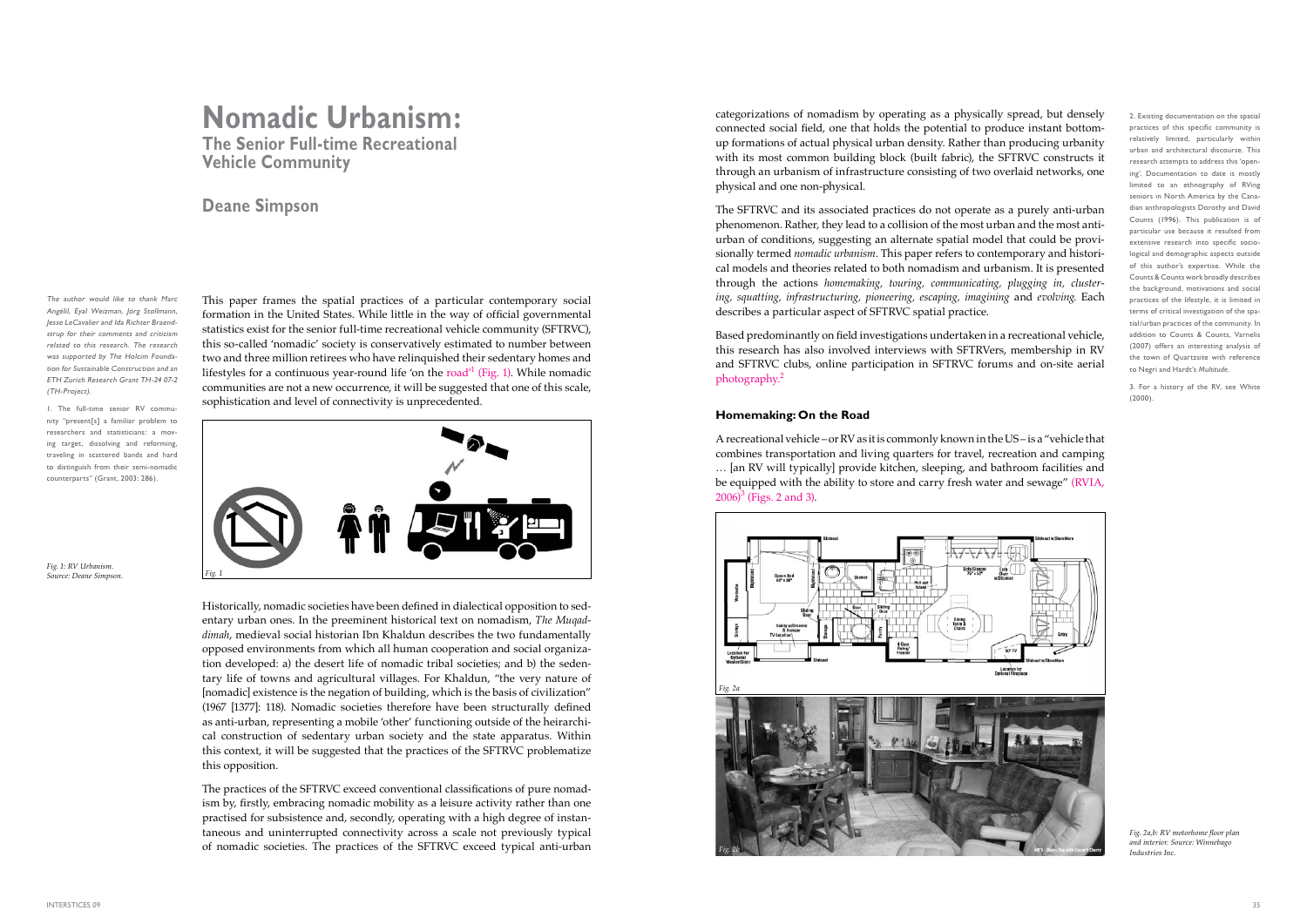# **Nomadic Urbanism: The Senior Full-time Recreational Vehicle Community**

## **Deane Simpson**

This paper frames the spatial practices of a particular contemporary social formation in the United States. While little in the way of official governmental statistics exist for the senior full-time recreational vehicle community (SFTRVC), this so-called 'nomadic' society is conservatively estimated to number between two and three million retirees who have relinquished their sedentary homes and lifestyles for a continuous year-round life 'on the  $road'$  (Fig. 1). While nomadic communities are not a new occurrence, it will be suggested that one of this scale, sophistication and level of connectivity is unprecedented.



categorizations of nomadism by operating as a physically spread, but densely connected social field, one that holds the potential to produce instant bottomup formations of actual physical urban density. Rather than producing urbanity with its most common building block (built fabric), the SFTRVC constructs it through an urbanism of infrastructure consisting of two overlaid networks, one physical and one non-physical.

A recreational vehicle – or RV as it is commonly known in the US – is a "vehicle that combines transportation and living quarters for travel, recreation and camping … [an RV will typically] provide kitchen, sleeping, and bathroom facilities and be equipped with the ability to store and carry fresh water and sewage" (RVIA,  $2006$ <sup>3</sup> (Figs. 2 and 3).

The SFTRVC and its associated practices do not operate as a purely anti-urban phenomenon. Rather, they lead to a collision of the most urban and the most antiurban of conditions, suggesting an alternate spatial model that could be provisionally termed *nomadic urbanism*. This paper refers to contemporary and historical models and theories related to both nomadism and urbanism. It is presented through the actions *homemaking, touring, communicating, plugging in, clustering, squatting, infrastructuring, pioneering, escaping, imagining* and *evolving*. Each describes a particular aspect of SFTRVC spatial practice.

Based predominantly on field investigations undertaken in a recreational vehicle, this research has also involved interviews with SFTRVers, membership in RV and SFTRVC clubs, online participation in SFTRVC forums and on-site aerial photography.<sup>2</sup>

### **Homemaking: On the Road**

1. The full-time senior RV community "present[s] a familiar problem to researchers and statisticians: a moving target, dissolving and reforming, traveling in scattered bands and hard to distinguish from their semi-nomadic counterparts" (Grant, 2003: 286).

> Historically, nomadic societies have been defined in dialectical opposition to sedentary urban ones. In the preeminent historical text on nomadism, *The Muqaddimah*, medieval social historian Ibn Khaldun describes the two fundamentally opposed environments from which all human cooperation and social organization developed: a) the desert life of nomadic tribal societies; and b) the sedentary life of towns and agricultural villages. For Khaldun, "the very nature of [nomadic] existence is the negation of building, which is the basis of civilization" (1967 [1377]: 118). Nomadic societies therefore have been structurally defined as anti-urban, representing a mobile 'other' functioning outside of the heirarchical construction of sedentary urban society and the state apparatus. Within this context, it will be suggested that the practices of the SFTRVC problematize this opposition.

> The practices of the SFTRVC exceed conventional classifications of pure nomadism by, firstly, embracing nomadic mobility as a leisure activity rather than one practised for subsistence and, secondly, operating with a high degree of instantaneous and uninterrupted connectivity across a scale not previously typical of nomadic societies. The practices of the SFTRVC exceed typical anti-urban

*Fig. 1: RV Urbanism. Source: Deane Simpson. Fig. 1*



*Fig. 2a,b: RV motorhome floor plan and interior. Source: Winnebago Industries Inc.*

The author would like to thank Marc Angélil, Eyal Weizman, Jörg Stollmann, Jesse LeCavalier and Ida Richter Braendstrup for their comments and criticism related to this research. The research was supported by The Holcim Foundation for Sustainable Construction and an ETH Zurich Research Grant TH-24 07-2 (TH-Project).

2. Existing documentation on the spatial practices of this specific community is relatively limited, particularly within urban and architectural discourse. This research attempts to address this 'opening'. Documentation to date is mostly limited to an ethnography of RVing seniors in North America by the Canadian anthropologists Dorothy and David Counts (1996). This publication is of particular use because it resulted from extensive research into specific sociological and demographic aspects outside of this author's expertise. While the Counts & Counts work broadly describes the background, motivations and social practices of the lifestyle, it is limited in terms of critical investigation of the spatial/urban practices of the community. In addition to Counts & Counts, Varnelis (2007) offers an interesting analysis of the town of Quartzsite with reference to Negri and Hardt's *Multitude*.

3. For a history of the RV, see White (2000).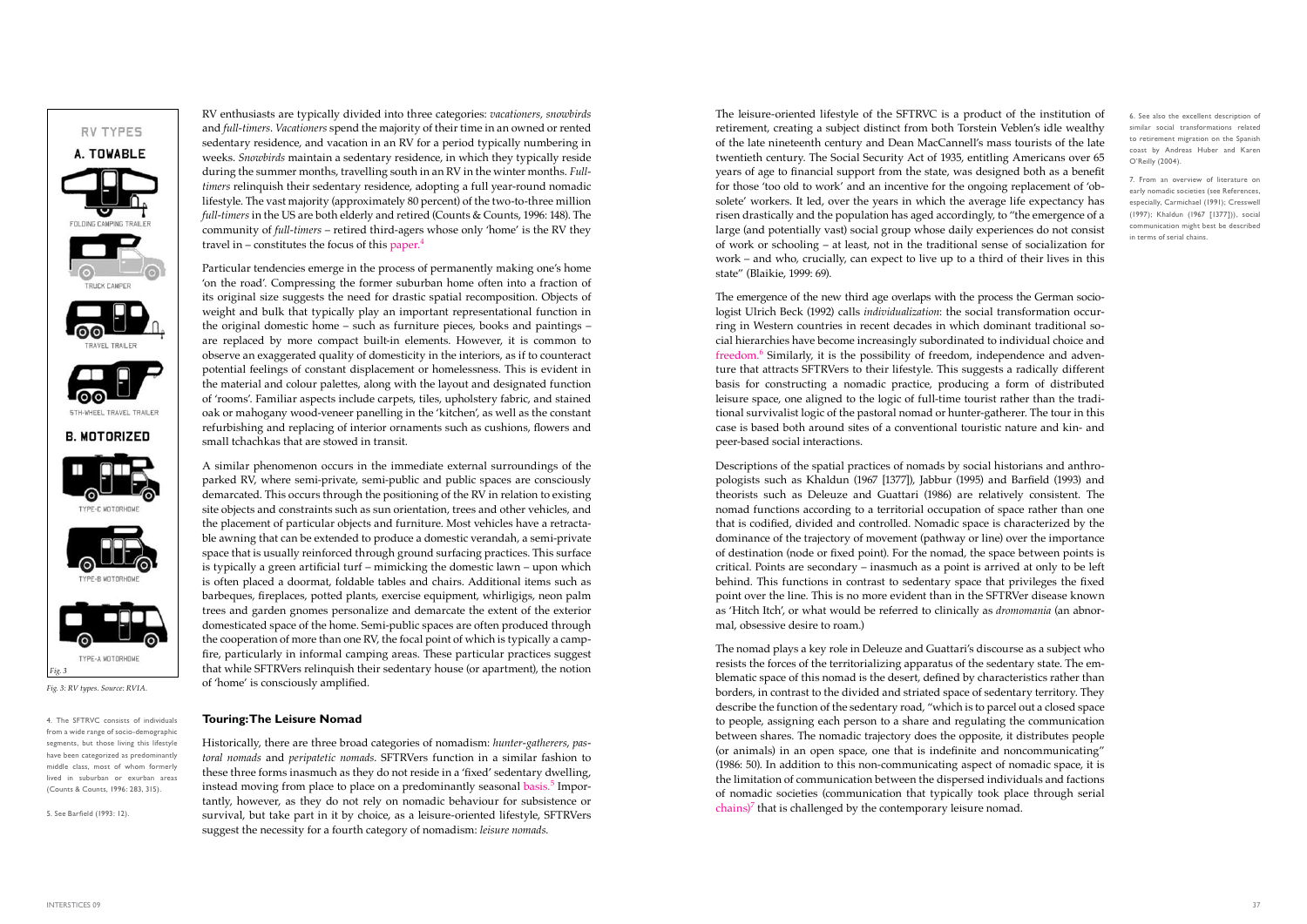The leisure-oriented lifestyle of the SFTRVC is a product of the institution of retirement, creating a subject distinct from both Torstein Veblen's idle wealthy of the late nineteenth century and Dean MacCannell's mass tourists of the late twentieth century. The Social Security Act of 1935, entitling Americans over 65 years of age to financial support from the state, was designed both as a benefit for those 'too old to work' and an incentive for the ongoing replacement of 'obsolete' workers. It led, over the years in which the average life expectancy has risen drastically and the population has aged accordingly, to "the emergence of a large (and potentially vast) social group whose daily experiences do not consist of work or schooling – at least, not in the traditional sense of socialization for work – and who, crucially, can expect to live up to a third of their lives in this state" (Blaikie, 1999: 69).

The nomad plays a key role in Deleuze and Guattari's discourse as a subject who resists the forces of the territorializing apparatus of the sedentary state. The emblematic space of this nomad is the desert, defined by characteristics rather than borders, in contrast to the divided and striated space of sedentary territory. They describe the function of the sedentary road, "which is to parcel out a closed space to people, assigning each person to a share and regulating the communication between shares. The nomadic trajectory does the opposite, it distributes people (or animals) in an open space, one that is indefinite and noncommunicating" (1986: 50). In addition to this non-communicating aspect of nomadic space, it is the limitation of communication between the dispersed individuals and factions of nomadic societies (communication that typically took place through serial  $\text{chains}$ <sup>7</sup> that is challenged by the contemporary leisure nomad.

The emergence of the new third age overlaps with the process the German sociologist Ulrich Beck (1992) calls *individualization*: the social transformation occurring in Western countries in recent decades in which dominant traditional social hierarchies have become increasingly subordinated to individual choice and freedom. $6$  Similarly, it is the possibility of freedom, independence and adventure that attracts SFTRVers to their lifestyle. This suggests a radically different basis for constructing a nomadic practice, producing a form of distributed leisure space, one aligned to the logic of full-time tourist rather than the traditional survivalist logic of the pastoral nomad or hunter-gatherer. The tour in this case is based both around sites of a conventional touristic nature and kin- and peer-based social interactions.

RV enthusiasts are typically divided into three categories: *vacationers, snowbirds*  and *full-timers*. *Vacationers* spend the majority of their time in an owned or rented sedentary residence, and vacation in an RV for a period typically numbering in weeks. *Snowbirds* maintain a sedentary residence, in which they typically reside during the summer months, travelling south in an RV in the winter months. *Fulltimers* relinquish their sedentary residence, adopting a full year-round nomadic lifestyle. The vast majority (approximately 80 percent) of the two-to-three million *full-timers* in the US are both elderly and retired (Counts & Counts, 1996: 148). The community of *full-timers* – retired third-agers whose only 'home' is the RV they travel in – constitutes the focus of this paper. $4$ 

> Descriptions of the spatial practices of nomads by social historians and anthropologists such as Khaldun (1967 [1377]), Jabbur (1995) and Barfield (1993) and theorists such as Deleuze and Guattari (1986) are relatively consistent. The nomad functions according to a territorial occupation of space rather than one that is codified, divided and controlled. Nomadic space is characterized by the dominance of the trajectory of movement (pathway or line) over the importance of destination (node or fixed point). For the nomad, the space between points is critical. Points are secondary – inasmuch as a point is arrived at only to be left behind. This functions in contrast to sedentary space that privileges the fixed point over the line. This is no more evident than in the SFTRVer disease known as 'Hitch Itch', or what would be referred to clinically as *dromomania* (an abnormal, obsessive desire to roam.)

Particular tendencies emerge in the process of permanently making one's home 'on the road'. Compressing the former suburban home often into a fraction of its original size suggests the need for drastic spatial recomposition. Objects of weight and bulk that typically play an important representational function in the original domestic home – such as furniture pieces, books and paintings – are replaced by more compact built-in elements. However, it is common to observe an exaggerated quality of domesticity in the interiors, as if to counteract potential feelings of constant displacement or homelessness. This is evident in the material and colour palettes, along with the layout and designated function of 'rooms'. Familiar aspects include carpets, tiles, upholstery fabric, and stained oak or mahogany wood-veneer panelling in the 'kitchen', as well as the constant refurbishing and replacing of interior ornaments such as cushions, flowers and small tchachkas that are stowed in transit.

A similar phenomenon occurs in the immediate external surroundings of the parked RV, where semi-private, semi-public and public spaces are consciously demarcated. This occurs through the positioning of the RV in relation to existing site objects and constraints such as sun orientation, trees and other vehicles, and the placement of particular objects and furniture. Most vehicles have a retractable awning that can be extended to produce a domestic verandah, a semi-private space that is usually reinforced through ground surfacing practices. This surface is typically a green artificial turf – mimicking the domestic lawn – upon which is often placed a doormat, foldable tables and chairs. Additional items such as barbeques, fireplaces, potted plants, exercise equipment, whirligigs, neon palm trees and garden gnomes personalize and demarcate the extent of the exterior domesticated space of the home. Semi-public spaces are often produced through the cooperation of more than one RV, the focal point of which is typically a campfire, particularly in informal camping areas. These particular practices suggest that while SFTRVers relinquish their sedentary house (or apartment), the notion of 'home' is consciously amplified.

### **Touring: The Leisure Nomad**

Historically, there are three broad categories of nomadism: *hunter-gatherers*, *pastoral nomads* and *peripatetic nomads*. SFTRVers function in a similar fashion to these three forms inasmuch as they do not reside in a 'fixed' sedentary dwelling, instead moving from place to place on a predominantly seasonal basis.<sup>5</sup> Importantly, however, as they do not rely on nomadic behaviour for subsistence or survival, but take part in it by choice, as a leisure-oriented lifestyle, SFTRVers suggest the necessity for a fourth category of nomadism: *leisure nomads*.

# RV TYPES A. TOWABLE FOLDING CAMPING TRAILER **STH-WHEEL TRAVEL TRAILER B. MOTORIZED**



*Fig. 3: RV types. Source: RVIA.* 

4. The SFTRVC consists of individuals from a wide range of socio-demographic segments, but those living this lifestyle have been categorized as predominantly middle class, most of whom formerly lived in suburban or exurban areas (Counts & Counts, 1996: 283, 315).

5. See Barfield (1993: 12).

6. See also the excellent description of similar social transformations related to retirement migration on the Spanish coast by Andreas Huber and Karen O'Reilly (2004)*.*

7. From an overview of literature on early nomadic societies (see References, especially, Carmichael (1991); Cresswell (1997); Khaldun (1967 [1377])), social communication might best be described in terms of serial chains.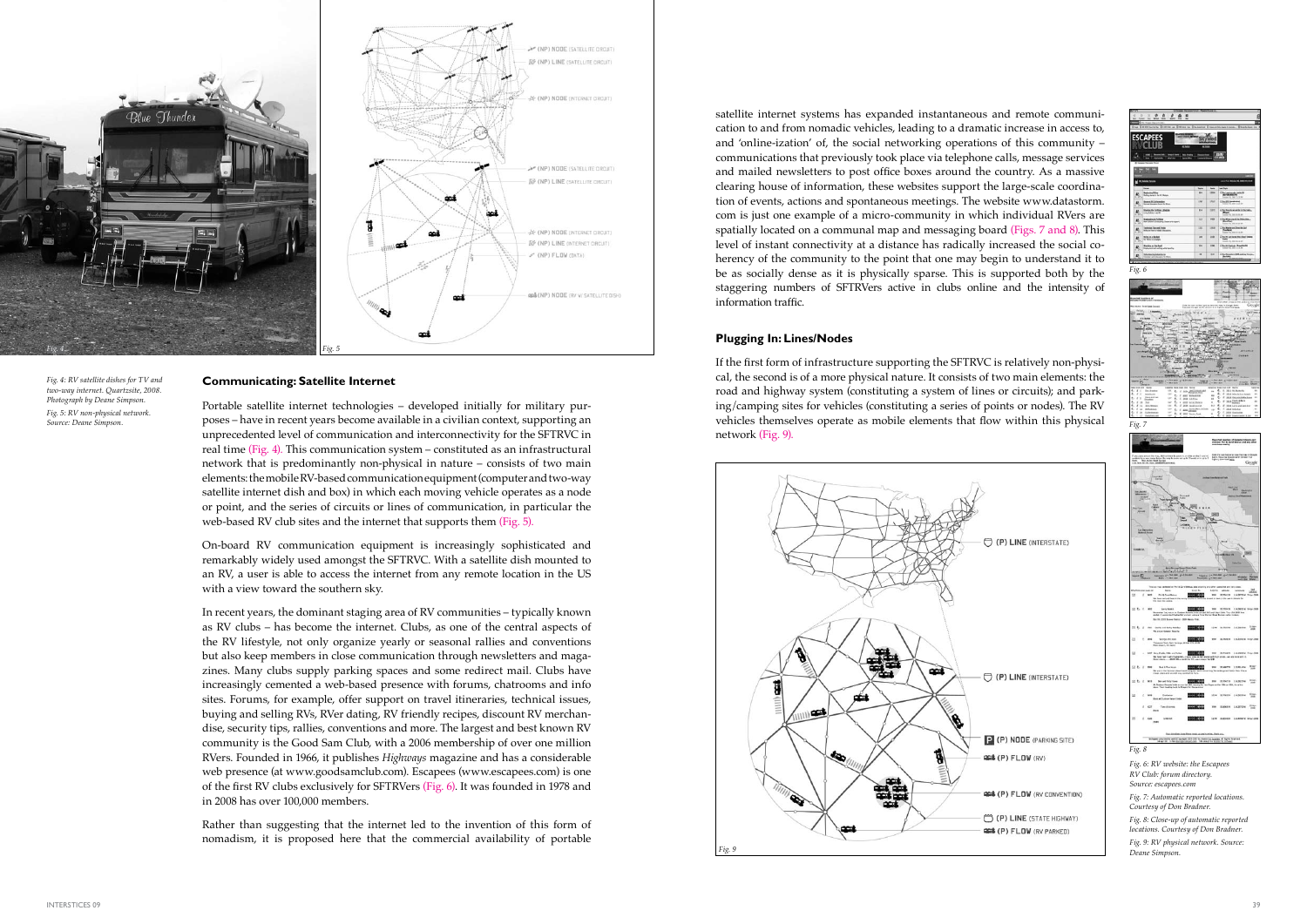satellite internet systems has expanded instantaneous and remote communication to and from nomadic vehicles, leading to a dramatic increase in access to, and 'online-ization' of, the social networking operations of this community – communications that previously took place via telephone calls, message services and mailed newsletters to post office boxes around the country. As a massive clearing house of information, these websites support the large-scale coordination of events, actions and spontaneous meetings. The website www.datastorm. com is just one example of a micro-community in which individual RVers are spatially located on a communal map and messaging board (Figs. 7 and 8). This level of instant connectivity at a distance has radically increased the social coherency of the community to the point that one may begin to understand it to be as socially dense as it is physically sparse. This is supported both by the staggering numbers of SFTRVers active in clubs online and the intensity of information traffic.

#### **Plugging In: Lines/Nodes**

If the first form of infrastructure supporting the SFTRVC is relatively non-physical, the second is of a more physical nature. It consists of two main elements: the road and highway system (constituting a system of lines or circuits); and parking/camping sites for vehicles (constituting a series of points or nodes). The RV vehicles themselves operate as mobile elements that flow within this physical network (Fig. 9).

#### **Communicating: Satellite Internet**

Portable satellite internet technologies – developed initially for military purposes – have in recent years become available in a civilian context, supporting an unprecedented level of communication and interconnectivity for the SFTRVC in real time (Fig. 4). This communication system – constituted as an infrastructural network that is predominantly non-physical in nature – consists of two main elements: the mobile RV-based communication equipment (computer and two-way satellite internet dish and box) in which each moving vehicle operates as a node or point, and the series of circuits or lines of communication, in particular the web-based RV club sites and the internet that supports them (Fig. 5).

On-board RV communication equipment is increasingly sophisticated and remarkably widely used amongst the SFTRVC. With a satellite dish mounted to an RV, a user is able to access the internet from any remote location in the US with a view toward the southern sky.

In recent years, the dominant staging area of RV communities – typically known as RV clubs – has become the internet. Clubs, as one of the central aspects of the RV lifestyle, not only organize yearly or seasonal rallies and conventions but also keep members in close communication through newsletters and magazines. Many clubs supply parking spaces and some redirect mail. Clubs have increasingly cemented a web-based presence with forums, chatrooms and info sites. Forums, for example, offer support on travel itineraries, technical issues, buying and selling RVs, RVer dating, RV friendly recipes, discount RV merchandise, security tips, rallies, conventions and more. The largest and best known RV community is the Good Sam Club, with a 2006 membership of over one million RVers. Founded in 1966, it publishes *Highways* magazine and has a considerable web presence (at www.goodsamclub.com). Escapees (www.escapees.com) is one of the first RV clubs exclusively for SFTRVers (Fig. 6). It was founded in 1978 and in 2008 has over 100,000 members.

Rather than suggesting that the internet led to the invention of this form of nomadism, it is proposed here that the commercial availability of portable



*Fig. 4: RV satellite dishes for TV and two-way internet. Quartzsite, 2008. Photograph by Deane Simpson. Fig. 5: RV non-physical network. Source: Deane Simpson.*

> *Fig. 7: Automatic reported locations. Courtesy of Don Bradner.*



*Fig. 8: Close-up of automatic reported locations. Courtesy of Don Bradner.*

*Fig. 9: RV physical network. Source: Deane Simpson.*

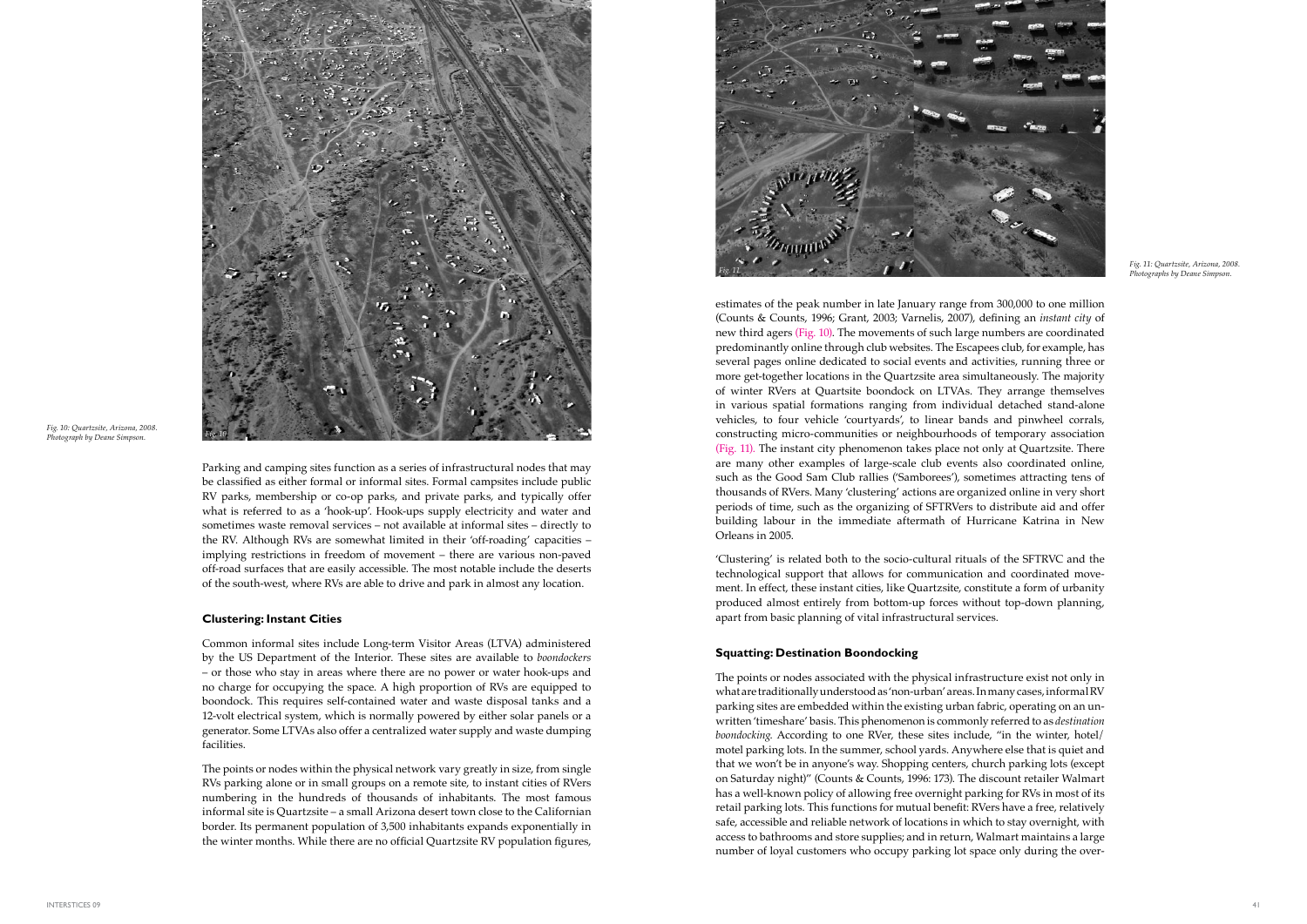estimates of the peak number in late January range from 300,000 to one million (Counts & Counts, 1996; Grant, 2003; Varnelis, 2007), defining an *instant city* of new third agers (Fig. 10). The movements of such large numbers are coordinated predominantly online through club websites. The Escapees club, for example, has several pages online dedicated to social events and activities, running three or more get-together locations in the Quartzsite area simultaneously. The majority of winter RVers at Quartsite boondock on LTVAs. They arrange themselves in various spatial formations ranging from individual detached stand-alone vehicles, to four vehicle 'courtyards', to linear bands and pinwheel corrals, constructing micro-communities or neighbourhoods of temporary association (Fig. 11). The instant city phenomenon takes place not only at Quartzsite. There are many other examples of large-scale club events also coordinated online, such as the Good Sam Club rallies ('Samborees'), sometimes attracting tens of thousands of RVers. Many 'clustering' actions are organized online in very short periods of time, such as the organizing of SFTRVers to distribute aid and offer building labour in the immediate aftermath of Hurricane Katrina in New Orleans in 2005.

'Clustering' is related both to the socio-cultural rituals of the SFTRVC and the technological support that allows for communication and coordinated movement. In effect, these instant cities, like Quartzsite, constitute a form of urbanity produced almost entirely from bottom-up forces without top-down planning, apart from basic planning of vital infrastructural services.

### **Squatting: Destination Boondocking**

The points or nodes associated with the physical infrastructure exist not only in what are traditionally understood as 'non-urban' areas. In many cases, informal RV parking sites are embedded within the existing urban fabric, operating on an unwritten 'timeshare' basis. This phenomenon is commonly referred to as *destination boondocking*. According to one RVer, these sites include, "in the winter, hotel/ motel parking lots. In the summer, school yards. Anywhere else that is quiet and that we won't be in anyone's way. Shopping centers, church parking lots (except on Saturday night)" (Counts & Counts, 1996: 173). The discount retailer Walmart has a well-known policy of allowing free overnight parking for RVs in most of its retail parking lots. This functions for mutual benefit: RVers have a free, relatively safe, accessible and reliable network of locations in which to stay overnight, with access to bathrooms and store supplies; and in return, Walmart maintains a large number of loyal customers who occupy parking lot space only during the over-

Parking and camping sites function as a series of infrastructural nodes that may be classified as either formal or informal sites. Formal campsites include public RV parks, membership or co-op parks, and private parks, and typically offer what is referred to as a 'hook-up'. Hook-ups supply electricity and water and sometimes waste removal services – not available at informal sites – directly to the RV. Although RVs are somewhat limited in their 'off-roading' capacities – implying restrictions in freedom of movement – there are various non-paved off-road surfaces that are easily accessible. The most notable include the deserts of the south-west, where RVs are able to drive and park in almost any location.

#### **Clustering: Instant Cities**

Common informal sites include Long-term Visitor Areas (LTVA) administered by the US Department of the Interior. These sites are available to *boondockers* – or those who stay in areas where there are no power or water hook-ups and no charge for occupying the space. A high proportion of RVs are equipped to boondock. This requires self-contained water and waste disposal tanks and a 12-volt electrical system, which is normally powered by either solar panels or a generator. Some LTVAs also offer a centralized water supply and waste dumping facilities.

The points or nodes within the physical network vary greatly in size, from single RVs parking alone or in small groups on a remote site, to instant cities of RVers numbering in the hundreds of thousands of inhabitants. The most famous informal site is Quartzsite – a small Arizona desert town close to the Californian border. Its permanent population of 3,500 inhabitants expands exponentially in the winter months. While there are no official Quartzsite RV population figures,





*Fig. 10 Fig. 10: Quartzsite, Arizona, 2008. Photograph by Deane Simpson.*

*Fig. 11 Fig. 11: Quartzsite, Arizona, 2008. Photographs by Deane Simpson.*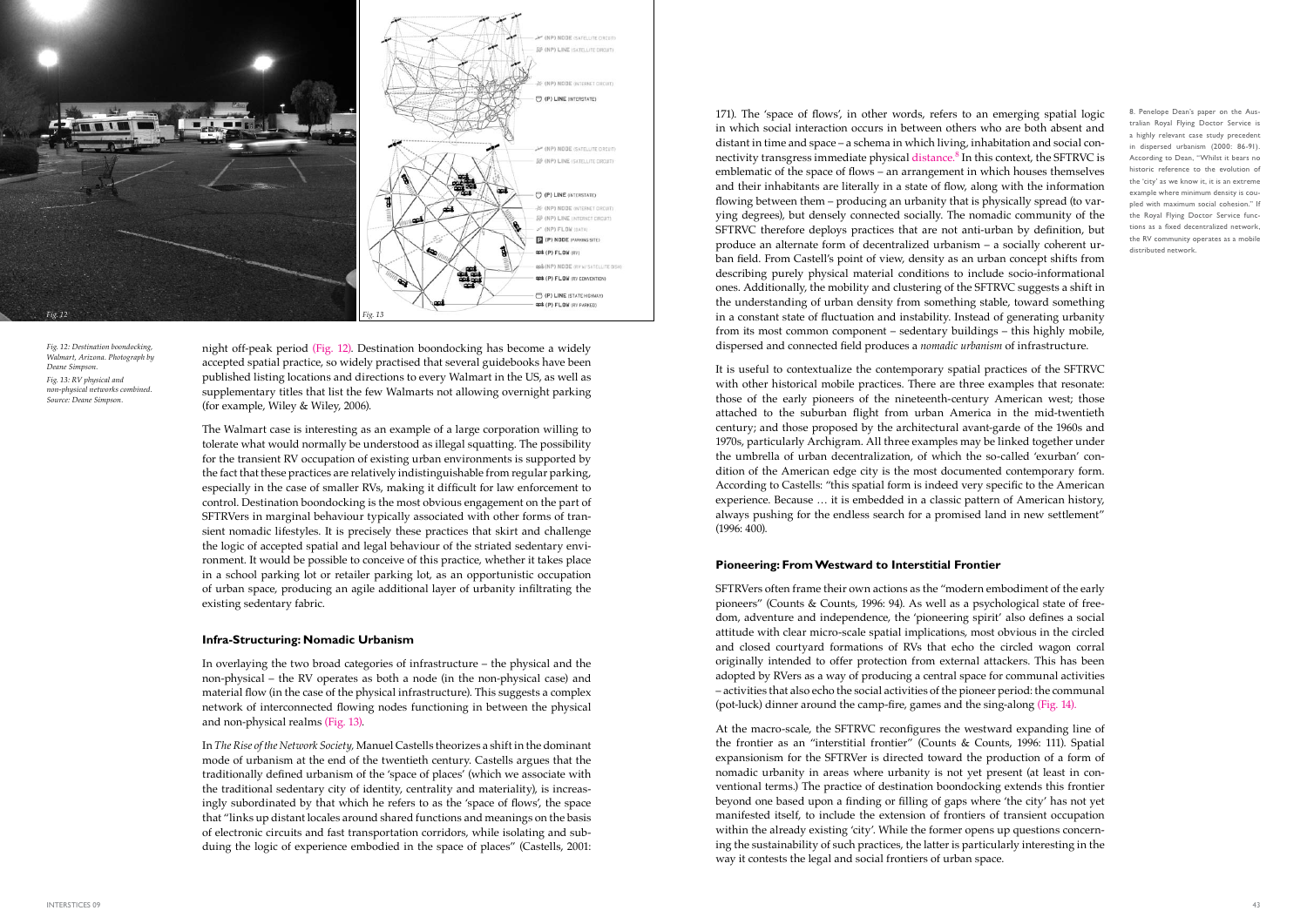171). The 'space of flows', in other words, refers to an emerging spatial logic in which social interaction occurs in between others who are both absent and distant in time and space – a schema in which living, inhabitation and social connectivity transgress immediate physical distance.<sup>8</sup> In this context, the SFTRVC is emblematic of the space of flows – an arrangement in which houses themselves and their inhabitants are literally in a state of flow, along with the information flowing between them – producing an urbanity that is physically spread (to varying degrees), but densely connected socially. The nomadic community of the SFTRVC therefore deploys practices that are not anti-urban by definition, but produce an alternate form of decentralized urbanism – a socially coherent urban field. From Castell's point of view, density as an urban concept shifts from describing purely physical material conditions to include socio-informational ones. Additionally, the mobility and clustering of the SFTRVC suggests a shift in the understanding of urban density from something stable, toward something in a constant state of fluctuation and instability. Instead of generating urbanity from its most common component – sedentary buildings – this highly mobile, dispersed and connected field produces a *nomadic urbanism* of infrastructure.

It is useful to contextualize the contemporary spatial practices of the SFTRVC with other historical mobile practices. There are three examples that resonate: those of the early pioneers of the nineteenth-century American west; those attached to the suburban flight from urban America in the mid-twentieth century; and those proposed by the architectural avant-garde of the 1960s and 1970s, particularly Archigram. All three examples may be linked together under the umbrella of urban decentralization, of which the so-called 'exurban' condition of the American edge city is the most documented contemporary form. According to Castells: "this spatial form is indeed very specific to the American experience. Because … it is embedded in a classic pattern of American history, always pushing for the endless search for a promised land in new settlement" (1996: 400).

#### **Pioneering: From Westward to Interstitial Frontier**

SFTRVers often frame their own actions as the "modern embodiment of the early pioneers" (Counts & Counts, 1996: 94). As well as a psychological state of freedom, adventure and independence, the 'pioneering spirit' also defines a social attitude with clear micro-scale spatial implications, most obvious in the circled and closed courtyard formations of RVs that echo the circled wagon corral originally intended to offer protection from external attackers. This has been adopted by RVers as a way of producing a central space for communal activities – activities that also echo the social activities of the pioneer period: the communal (pot-luck) dinner around the camp-fire, games and the sing-along (Fig. 14).

At the macro-scale, the SFTRVC reconfigures the westward expanding line of the frontier as an "interstitial frontier" (Counts & Counts, 1996: 111). Spatial expansionism for the SFTRVer is directed toward the production of a form of nomadic urbanity in areas where urbanity is not yet present (at least in conventional terms.) The practice of destination boondocking extends this frontier beyond one based upon a finding or filling of gaps where 'the city' has not yet manifested itself, to include the extension of frontiers of transient occupation within the already existing 'city'. While the former opens up questions concerning the sustainability of such practices, the latter is particularly interesting in the way it contests the legal and social frontiers of urban space.

8. Penelope Dean's paper on the Australian Royal Flying Doctor Service is a highly relevant case study precedent in dispersed urbanism (2000: 86-91). According to Dean, "Whilst it bears no historic reference to the evolution of the 'city' as we know it, it is an extreme example where minimum density is coupled with maximum social cohesion." If the Royal Flying Doctor Service functions as a fixed decentralized network, the RV community operates as a mobile distributed network.

night off-peak period (Fig. 12). Destination boondocking has become a widely accepted spatial practice, so widely practised that several guidebooks have been published listing locations and directions to every Walmart in the US, as well as supplementary titles that list the few Walmarts not allowing overnight parking (for example, Wiley & Wiley, 2006).

The Walmart case is interesting as an example of a large corporation willing to tolerate what would normally be understood as illegal squatting. The possibility for the transient RV occupation of existing urban environments is supported by the fact that these practices are relatively indistinguishable from regular parking, especially in the case of smaller RVs, making it difficult for law enforcement to control. Destination boondocking is the most obvious engagement on the part of SFTRVers in marginal behaviour typically associated with other forms of transient nomadic lifestyles. It is precisely these practices that skirt and challenge the logic of accepted spatial and legal behaviour of the striated sedentary environment. It would be possible to conceive of this practice, whether it takes place in a school parking lot or retailer parking lot, as an opportunistic occupation of urban space, producing an agile additional layer of urbanity infiltrating the existing sedentary fabric.

#### **Infra-Structuring: Nomadic Urbanism**

In overlaying the two broad categories of infrastructure – the physical and the non-physical – the RV operates as both a node (in the non-physical case) and material flow (in the case of the physical infrastructure). This suggests a complex network of interconnected flowing nodes functioning in between the physical and non-physical realms (Fig. 13).

In *The Rise of the Network Society,* Manuel Castells theorizes a shift in the dominant mode of urbanism at the end of the twentieth century. Castells argues that the traditionally defined urbanism of the 'space of places' (which we associate with the traditional sedentary city of identity, centrality and materiality), is increasingly subordinated by that which he refers to as the 'space of flows', the space that "links up distant locales around shared functions and meanings on the basis of electronic circuits and fast transportation corridors, while isolating and subduing the logic of experience embodied in the space of places" (Castells, 2001:



*Fig. 12: Destination boondocking, Walmart, Arizona. Photograph by Deane Simpson. Fig. 13: RV physical and non-physical networks combined. Source: Deane Simpson.*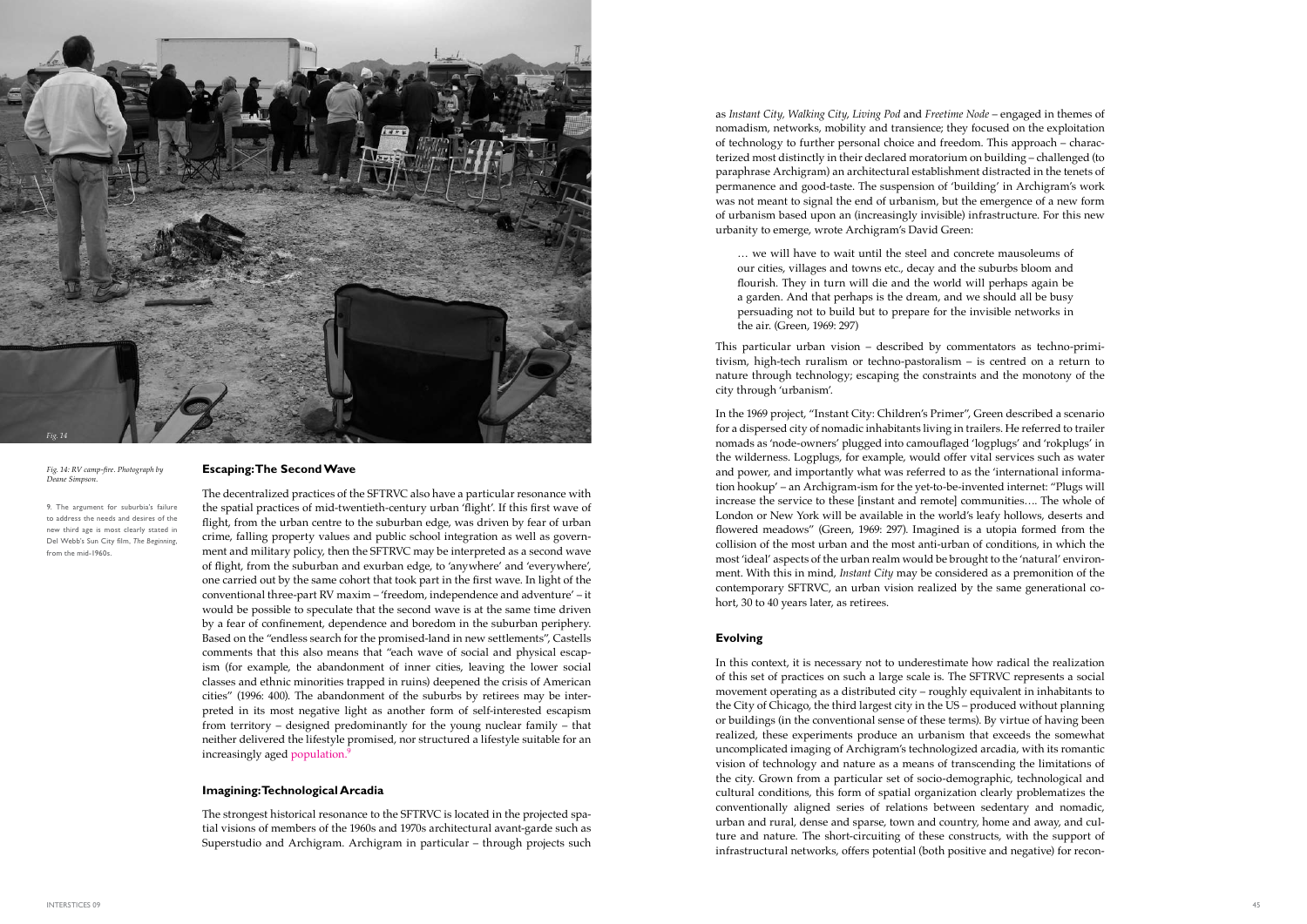### **Escaping: The Second Wave**

The decentralized practices of the SFTRVC also have a particular resonance with the spatial practices of mid-twentieth-century urban 'flight'. If this first wave of flight, from the urban centre to the suburban edge, was driven by fear of urban crime, falling property values and public school integration as well as govern ment and military policy, then the SFTRVC may be interpreted as a second wave of flight, from the suburban and exurban edge, to 'anywhere' and 'everywhere', one carried out by the same cohort that took part in the first wave. In light of the conventional three-part RV maxim – 'freedom, independence and adventure' – it would be possible to speculate that the second wave is at the same time driven by a fear of confinement, dependence and boredom in the suburban periphery. Based on the "endless search for the promised-land in new settlements", Castells comments that this also means that "each wave of social and physical escap ism (for example, the abandonment of inner cities, leaving the lower social classes and ethnic minorities trapped in ruins) deepened the crisis of American cities" (1996: 400). The abandonment of the suburbs by retirees may be interpreted in its most negative light as another form of self-interested escapism from territory – designed predominantly for the young nuclear family – that neither delivered the lifestyle promised, nor structured a lifestyle suitable for an increasingly aged population. 9

### **Imagining: Technological Arcadia**

The strongest historical resonance to the SFTRVC is located in the projected spa tial visions of members of the 1960s and 1970s architectural avant-garde such as Superstudio and Archigram. Archigram in particular – through projects such as *Instant City, Walking City*, *Living Pod* and *Freetime Node* – engaged in themes of nomadism, networks, mobility and transience; they focused on the exploitation of technology to further personal choice and freedom. This approach – charac terized most distinctly in their declared moratorium on building – challenged (to paraphrase Archigram) an architectural establishment distracted in the tenets of permanence and good-taste. The suspension of 'building' in Archigram's work was not meant to signal the end of urbanism, but the emergence of a new form of urbanism based upon an (increasingly invisible) infrastructure. For this new urbanity to emerge, wrote Archigram's David Green:

… we will have to wait until the steel and concrete mausoleums of our cities, villages and towns etc., decay and the suburbs bloom and flourish. They in turn will die and the world will perhaps again be a garden. And that perhaps is the dream, and we should all be busy persuading not to build but to prepare for the invisible networks in the air. (Green, 1969: 297)

This particular urban vision – described by commentators as techno-primi tivism, high-tech ruralism or techno-pastoralism – is centred on a return to nature through technology; escaping the constraints and the monotony of the city through 'urbanism'.

In the 1969 project, "Instant City: Children's Primer", Green described a scenario for a dispersed city of nomadic inhabitants living in trailers. He referred to trailer nomads as 'node-owners' plugged into camouflaged 'logplugs' and 'rokplugs' in the wilderness. Logplugs, for example, would offer vital services such as water and power, and importantly what was referred to as the 'international informa tion hookup' – an Archigram-ism for the yet-to-be-invented internet: "Plugs will increase the service to these [instant and remote] communities…. The whole of London or New York will be available in the world's leafy hollows, deserts and flowered meadows" (Green, 1969: 297). Imagined is a utopia formed from the collision of the most urban and the most anti-urban of conditions, in which the most 'ideal' aspects of the urban realm would be brought to the 'natural' environ ment. With this in mind, *Instant City* may be considered as a premonition of the contemporary SFTRVC, an urban vision realized by the same generational co hort, 30 to 40 years later, as retirees.

### **Evolving**

In this context, it is necessary not to underestimate how radical the realization of this set of practices on such a large scale is. The SFTRVC represents a social movement operating as a distributed city – roughly equivalent in inhabitants to the City of Chicago, the third largest city in the US – produced without planning or buildings (in the conventional sense of these terms). By virtue of having been realized, these experiments produce an urbanism that exceeds the somewhat uncomplicated imaging of Archigram's technologized arcadia, with its romantic vision of technology and nature as a means of transcending the limitations of the city. Grown from a particular set of socio-demographic, technological and cultural conditions, this form of spatial organization clearly problematizes the conventionally aligned series of relations between sedentary and nomadic, urban and rural, dense and sparse, town and country, home and away, and cul ture and nature. The short-circuiting of these constructs, with the support of infrastructural networks, offers potential (both positive and negative) for recon -

*Fig. 14: RV camp-fire. Photograph by Deane Simpson.*



9. The argument for suburbia's failure to address the needs and desires of the new third age is most clearly stated in Del Webb's Sun City film, *The Beginning*, from the mid-1960s.